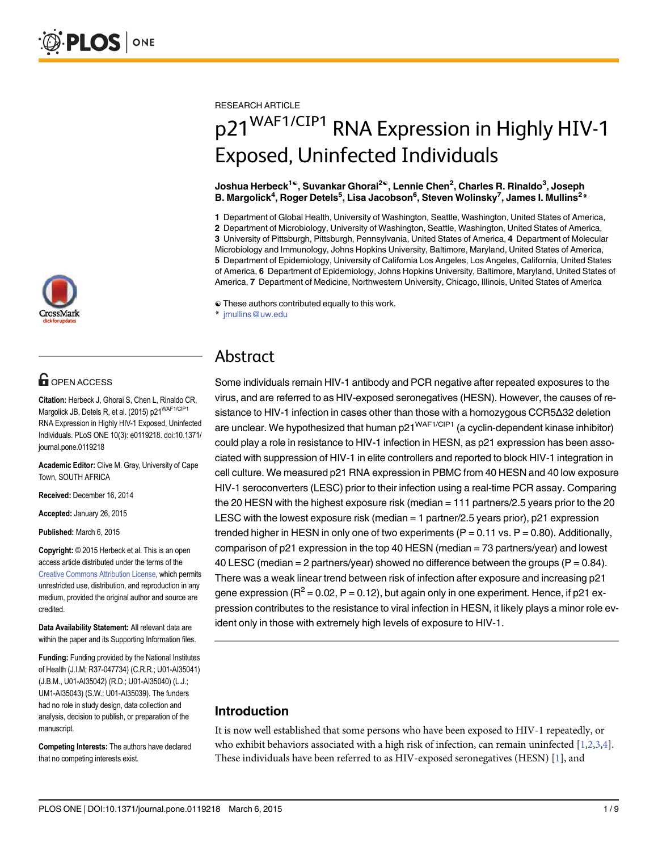

# **G** OPEN ACCESS

Citation: Herbeck J, Ghorai S, Chen L, Rinaldo CR, Margolick JB, Detels R, et al. (2015) p21<sup>WAF1/CIP1</sup> RNA Expression in Highly HIV-1 Exposed, Uninfected Individuals. PLoS ONE 10(3): e0119218. doi:10.1371/ journal.pone.0119218

Academic Editor: Clive M. Gray, University of Cape Town, SOUTH AFRICA

Received: December 16, 2014

Accepted: January 26, 2015

Published: March 6, 2015

Copyright: © 2015 Herbeck et al. This is an open access article distributed under the terms of the [Creative Commons Attribution License,](http://creativecommons.org/licenses/by/4.0/) which permits unrestricted use, distribution, and reproduction in any medium, provided the original author and source are credited.

Data Availability Statement: All relevant data are within the paper and its Supporting Information files.

Funding: Funding provided by the National Institutes of Health (J.I.M; R37-047734) (C.R.R.; U01-AI35041) (J.B.M., U01-AI35042) (R.D.; U01-AI35040) (L.J.; UM1-AI35043) (S.W.; U01-AI35039). The funders had no role in study design, data collection and analysis, decision to publish, or preparation of the manuscript.

Competing Interests: The authors have declared that no competing interests exist.

<span id="page-0-0"></span>RESEARCH ARTICLE

# p21<sup>WAF1/CIP1</sup> RNA Expression in Highly HIV-1 Exposed, Uninfected Individuals

Joshua Herbeck<sup>1©</sup>, Suvankar Ghorai<sup>2©</sup>, Lennie Chen<sup>2</sup>, Charles R. Rinaldo<sup>3</sup>, Joseph B. Margolick $\rm 4$ , Roger Detels $\rm 5$ , Lisa Jacobson $\rm 6$ , Steven Wolinsky $\rm 7$ , James I. Mullins $\rm 2*$ 

1 Department of Global Health, University of Washington, Seattle, Washington, United States of America, 2 Department of Microbiology, University of Washington, Seattle, Washington, United States of America, 3 University of Pittsburgh, Pittsburgh, Pennsylvania, United States of America, 4 Department of Molecular Microbiology and Immunology, Johns Hopkins University, Baltimore, Maryland, United States of America, 5 Department of Epidemiology, University of California Los Angeles, Los Angeles, California, United States of America, 6 Department of Epidemiology, Johns Hopkins University, Baltimore, Maryland, United States of America, 7 Department of Medicine, Northwestern University, Chicago, Illinois, United States of America

☯ These authors contributed equally to this work.

\* jmullins@uw.edu

# Abstract

Some individuals remain HIV-1 antibody and PCR negative after repeated exposures to the virus, and are referred to as HIV-exposed seronegatives (HESN). However, the causes of resistance to HIV-1 infection in cases other than those with a homozygous CCR5Δ32 deletion are unclear. We hypothesized that human  $p21^{WAF1/CIP1}$  (a cyclin-dependent kinase inhibitor) could play a role in resistance to HIV-1 infection in HESN, as p21 expression has been associated with suppression of HIV-1 in elite controllers and reported to block HIV-1 integration in cell culture. We measured p21 RNA expression in PBMC from 40 HESN and 40 low exposure HIV-1 seroconverters (LESC) prior to their infection using a real-time PCR assay. Comparing the 20 HESN with the highest exposure risk (median = 111 partners/2.5 years prior to the 20 LESC with the lowest exposure risk (median  $=$  1 partner/2.5 years prior), p21 expression trended higher in HESN in only one of two experiments  $(P = 0.11 \text{ vs. } P = 0.80)$ . Additionally, comparison of p21 expression in the top 40 HESN (median = 73 partners/year) and lowest 40 LESC (median  $= 2$  partners/year) showed no difference between the groups (P  $= 0.84$ ). There was a weak linear trend between risk of infection after exposure and increasing p21 gene expression ( $R^2 = 0.02$ , P = 0.12), but again only in one experiment. Hence, if p21 expression contributes to the resistance to viral infection in HESN, it likely plays a minor role evident only in those with extremely high levels of exposure to HIV-1.

# Introduction

It is now well established that some persons who have been exposed to HIV-1 repeatedly, or who exhibit behaviors associated with a high risk of infection, can remain uninfected  $[1,2,3,4]$ . These individuals have been referred to as HIV-exposed seronegatives (HESN)  $[1]$  $[1]$  $[1]$ , and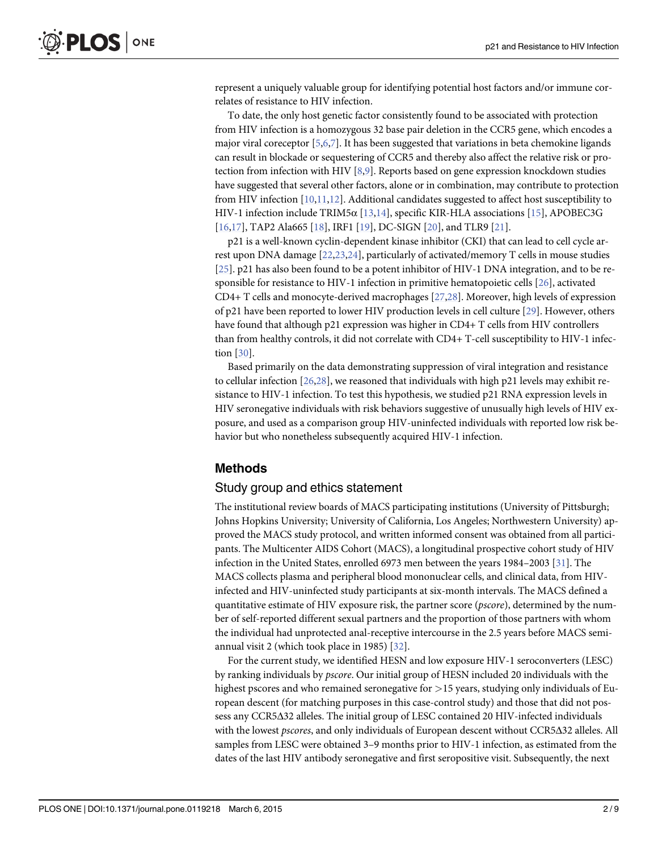<span id="page-1-0"></span>represent a uniquely valuable group for identifying potential host factors and/or immune correlates of resistance to HIV infection.

To date, the only host genetic factor consistently found to be associated with protection from HIV infection is a homozygous 32 base pair deletion in the CCR5 gene, which encodes a major viral coreceptor [[5](#page-6-0),[6](#page-6-0),[7](#page-7-0)]. It has been suggested that variations in beta chemokine ligands can result in blockade or sequestering of CCR5 and thereby also affect the relative risk or protection from infection with HIV [[8](#page-7-0),[9](#page-7-0)]. Reports based on gene expression knockdown studies have suggested that several other factors, alone or in combination, may contribute to protection from HIV infection  $[10,11,12]$  $[10,11,12]$  $[10,11,12]$  $[10,11,12]$ . Additional candidates suggested to affect host susceptibility to HIV-1 infection include TRIM5α  $[13,14]$ , specific KIR-HLA associations  $[15]$  $[15]$ , APOBEC3G [\[16,17\]](#page-7-0), TAP2 Ala665 [\[18\]](#page-7-0), IRF1 [[19](#page-7-0)], DC-SIGN [[20](#page-7-0)], and TLR9 [\[21\]](#page-7-0).

p21 is a well-known cyclin-dependent kinase inhibitor (CKI) that can lead to cell cycle arrest upon DNA damage [\[22,23](#page-7-0),[24](#page-7-0)], particularly of activated/memory T cells in mouse studies [\[25](#page-7-0)]. p21 has also been found to be a potent inhibitor of HIV-1 DNA integration, and to be responsible for resistance to HIV-1 infection in primitive hematopoietic cells  $[26]$ , activated CD4+ T cells and monocyte-derived macrophages [[27](#page-7-0)[,28\]](#page-8-0). Moreover, high levels of expression of p21 have been reported to lower HIV production levels in cell culture [[29](#page-8-0)]. However, others have found that although p21 expression was higher in CD4+ T cells from HIV controllers than from healthy controls, it did not correlate with CD4+ T-cell susceptibility to HIV-1 infection [[30](#page-8-0)].

Based primarily on the data demonstrating suppression of viral integration and resistance to cellular infection [[26](#page-7-0)[,28\]](#page-8-0), we reasoned that individuals with high p21 levels may exhibit resistance to HIV-1 infection. To test this hypothesis, we studied p21 RNA expression levels in HIV seronegative individuals with risk behaviors suggestive of unusually high levels of HIV exposure, and used as a comparison group HIV-uninfected individuals with reported low risk behavior but who nonetheless subsequently acquired HIV-1 infection.

#### Methods

#### Study group and ethics statement

The institutional review boards of MACS participating institutions (University of Pittsburgh; Johns Hopkins University; University of California, Los Angeles; Northwestern University) approved the MACS study protocol, and written informed consent was obtained from all participants. The Multicenter AIDS Cohort (MACS), a longitudinal prospective cohort study of HIV infection in the United States, enrolled 6973 men between the years 1984–2003 [\[31\]](#page-8-0). The MACS collects plasma and peripheral blood mononuclear cells, and clinical data, from HIVinfected and HIV-uninfected study participants at six-month intervals. The MACS defined a quantitative estimate of HIV exposure risk, the partner score (*pscore*), determined by the number of self-reported different sexual partners and the proportion of those partners with whom the individual had unprotected anal-receptive intercourse in the 2.5 years before MACS semiannual visit 2 (which took place in 1985) [\[32\]](#page-8-0).

For the current study, we identified HESN and low exposure HIV-1 seroconverters (LESC) by ranking individuals by pscore. Our initial group of HESN included 20 individuals with the highest pscores and who remained seronegative for  $>15$  years, studying only individuals of European descent (for matching purposes in this case-control study) and those that did not possess any CCR5Δ32 alleles. The initial group of LESC contained 20 HIV-infected individuals with the lowest *pscores*, and only individuals of European descent without CCR5Δ32 alleles. All samples from LESC were obtained 3–9 months prior to HIV-1 infection, as estimated from the dates of the last HIV antibody seronegative and first seropositive visit. Subsequently, the next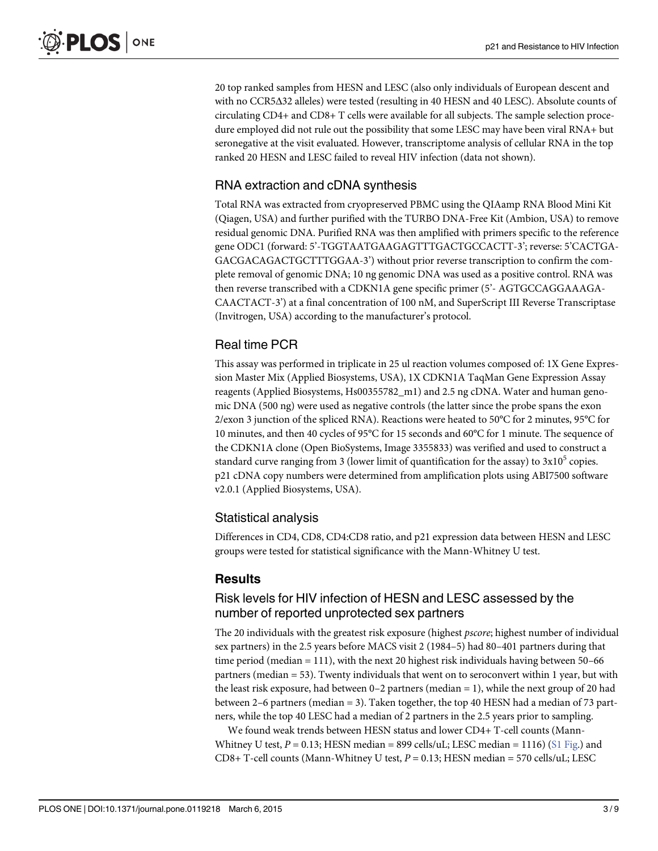20 top ranked samples from HESN and LESC (also only individuals of European descent and with no CCR5Δ32 alleles) were tested (resulting in 40 HESN and 40 LESC). Absolute counts of circulating CD4+ and CD8+ T cells were available for all subjects. The sample selection procedure employed did not rule out the possibility that some LESC may have been viral RNA+ but seronegative at the visit evaluated. However, transcriptome analysis of cellular RNA in the top ranked 20 HESN and LESC failed to reveal HIV infection (data not shown).

# RNA extraction and cDNA synthesis

Total RNA was extracted from cryopreserved PBMC using the QIAamp RNA Blood Mini Kit (Qiagen, USA) and further purified with the TURBO DNA-Free Kit (Ambion, USA) to remove residual genomic DNA. Purified RNA was then amplified with primers specific to the reference gene ODC1 (forward: 5'-TGGTAATGAAGAGTTTGACTGCCACTT-3'; reverse: 5'CACTGA-GACGACAGACTGCTTTGGAA-3') without prior reverse transcription to confirm the complete removal of genomic DNA; 10 ng genomic DNA was used as a positive control. RNA was then reverse transcribed with a CDKN1A gene specific primer (5'- AGTGCCAGGAAAGA-CAACTACT-3') at a final concentration of 100 nM, and SuperScript III Reverse Transcriptase (Invitrogen, USA) according to the manufacturer's protocol.

# Real time PCR

This assay was performed in triplicate in 25 ul reaction volumes composed of: 1X Gene Expression Master Mix (Applied Biosystems, USA), 1X CDKN1A TaqMan Gene Expression Assay reagents (Applied Biosystems, Hs00355782\_m1) and 2.5 ng cDNA. Water and human genomic DNA (500 ng) were used as negative controls (the latter since the probe spans the exon 2/exon 3 junction of the spliced RNA). Reactions were heated to 50°C for 2 minutes, 95°C for 10 minutes, and then 40 cycles of 95°C for 15 seconds and 60°C for 1 minute. The sequence of the CDKN1A clone (Open BioSystems, Image 3355833) was verified and used to construct a standard curve ranging from 3 (lower limit of quantification for the assay) to  $3x10^5$  copies. p21 cDNA copy numbers were determined from amplification plots using ABI7500 software v2.0.1 (Applied Biosystems, USA).

# Statistical analysis

Differences in CD4, CD8, CD4:CD8 ratio, and p21 expression data between HESN and LESC groups were tested for statistical significance with the Mann-Whitney U test.

#### **Results**

# Risk levels for HIV infection of HESN and LESC assessed by the number of reported unprotected sex partners

The 20 individuals with the greatest risk exposure (highest pscore; highest number of individual sex partners) in the 2.5 years before MACS visit 2 (1984–5) had 80–401 partners during that time period (median = 111), with the next 20 highest risk individuals having between 50–66 partners (median = 53). Twenty individuals that went on to seroconvert within 1 year, but with the least risk exposure, had between 0–2 partners (median = 1), while the next group of 20 had between 2–6 partners (median = 3). Taken together, the top 40 HESN had a median of 73 partners, while the top 40 LESC had a median of 2 partners in the 2.5 years prior to sampling.

We found weak trends between HESN status and lower CD4+ T-cell counts (Mann-Whitney U test,  $P = 0.13$ ; HESN median = 899 cells/uL; LESC median = 1116) [\(S1 Fig.](#page-6-0)) and  $CD8+$  T-cell counts (Mann-Whitney U test,  $P = 0.13$ ; HESN median = 570 cells/uL; LESC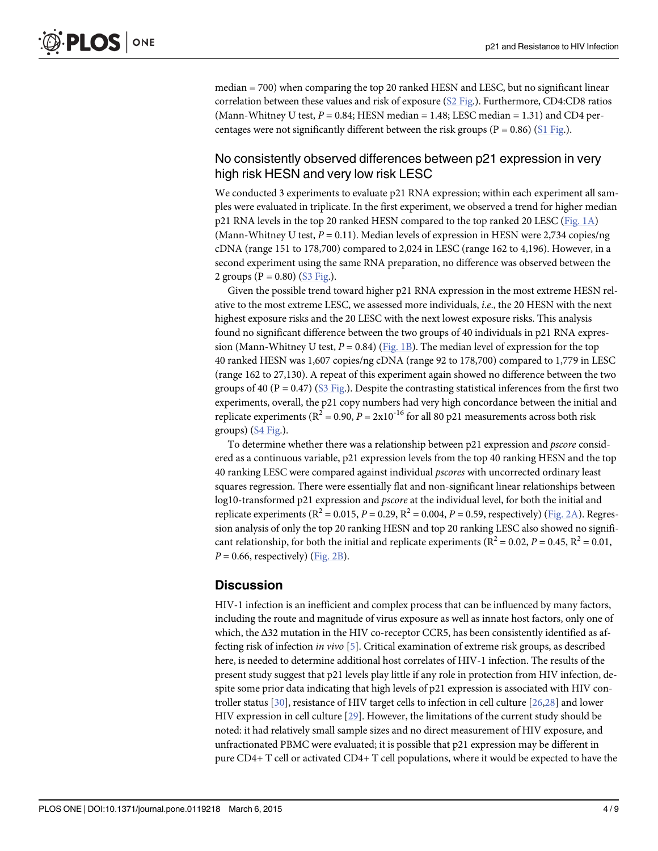<span id="page-3-0"></span>median = 700) when comparing the top 20 ranked HESN and LESC, but no significant linear correlation between these values and risk of exposure ([S2 Fig.](#page-6-0)). Furthermore, CD4:CD8 ratios (Mann-Whitney U test,  $P = 0.84$ ; HESN median = 1.48; LESC median = 1.31) and CD4 percentages were not significantly different between the risk groups ( $P = 0.86$ ) ( $S1$  Fig.).

#### No consistently observed differences between p21 expression in very high risk HESN and very low risk LESC

We conducted 3 experiments to evaluate p21 RNA expression; within each experiment all samples were evaluated in triplicate. In the first experiment, we observed a trend for higher median p21 RNA levels in the top 20 ranked HESN compared to the top ranked 20 LESC [\(Fig. 1A\)](#page-4-0) (Mann-Whitney U test,  $P = 0.11$ ). Median levels of expression in HESN were 2,734 copies/ng cDNA (range 151 to 178,700) compared to 2,024 in LESC (range 162 to 4,196). However, in a second experiment using the same RNA preparation, no difference was observed between the 2 groups ( $P = 0.80$ ) ( $S3$  Fig.).

Given the possible trend toward higher p21 RNA expression in the most extreme HESN relative to the most extreme LESC, we assessed more individuals, i.e., the 20 HESN with the next highest exposure risks and the 20 LESC with the next lowest exposure risks. This analysis found no significant difference between the two groups of 40 individuals in p21 RNA expression (Mann-Whitney U test,  $P = 0.84$ ) [\(Fig. 1B](#page-4-0)). The median level of expression for the top 40 ranked HESN was 1,607 copies/ng cDNA (range 92 to 178,700) compared to 1,779 in LESC (range 162 to 27,130). A repeat of this experiment again showed no difference between the two groups of 40 ( $P = 0.47$ ) ( $S3$  Fig.). Despite the contrasting statistical inferences from the first two experiments, overall, the p21 copy numbers had very high concordance between the initial and replicate experiments ( $R^2 = 0.90$ ,  $P = 2x10^{-16}$  for all 80 p21 measurements across both risk groups)  $(S4 \text{ Fig.}).$ 

To determine whether there was a relationship between p21 expression and pscore considered as a continuous variable, p21 expression levels from the top 40 ranking HESN and the top 40 ranking LESC were compared against individual pscores with uncorrected ordinary least squares regression. There were essentially flat and non-significant linear relationships between log10-transformed p21 expression and *pscore* at the individual level, for both the initial and replicate experiments ( $R^2 = 0.015$ ,  $P = 0.29$ ,  $R^2 = 0.004$ ,  $P = 0.59$ , respectively) ([Fig. 2A](#page-5-0)). Regression analysis of only the top 20 ranking HESN and top 20 ranking LESC also showed no significant relationship, for both the initial and replicate experiments ( $R^2 = 0.02$ ,  $P = 0.45$ ,  $R^2 = 0.01$ ,  $P = 0.66$ , respectively) [\(Fig. 2B\)](#page-5-0).

#### **Discussion**

HIV-1 infection is an inefficient and complex process that can be influenced by many factors, including the route and magnitude of virus exposure as well as innate host factors, only one of which, the Δ32 mutation in the HIV co-receptor CCR5, has been consistently identified as affecting risk of infection in vivo [[5\]](#page-6-0). Critical examination of extreme risk groups, as described here, is needed to determine additional host correlates of HIV-1 infection. The results of the present study suggest that p21 levels play little if any role in protection from HIV infection, despite some prior data indicating that high levels of p21 expression is associated with HIV controller status  $[30]$ , resistance of HIV target cells to infection in cell culture  $[26,28]$  $[26,28]$  and lower HIV expression in cell culture [[29\]](#page-8-0). However, the limitations of the current study should be noted: it had relatively small sample sizes and no direct measurement of HIV exposure, and unfractionated PBMC were evaluated; it is possible that p21 expression may be different in pure CD4+ T cell or activated CD4+ T cell populations, where it would be expected to have the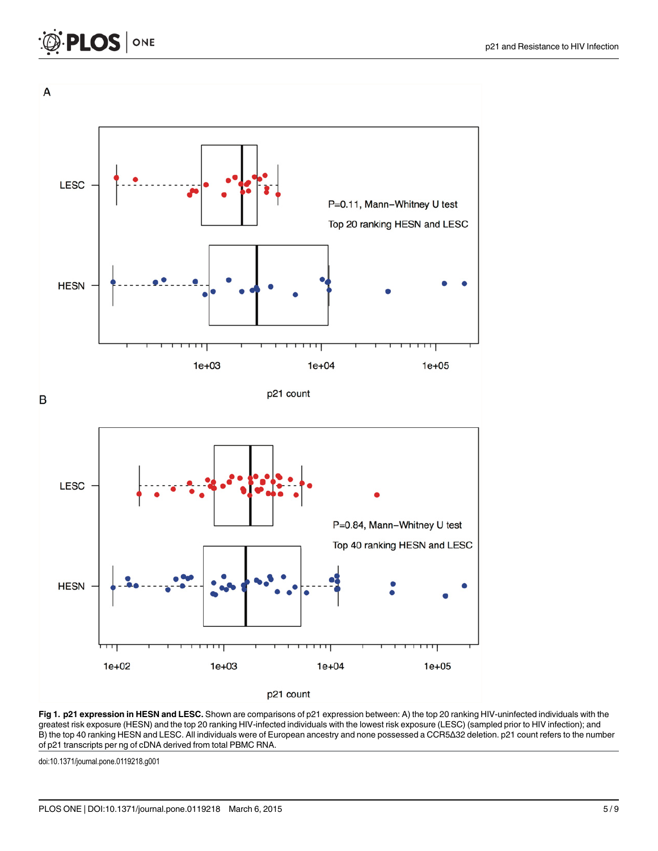<span id="page-4-0"></span>



[Fig 1. p](#page-3-0)21 expression in HESN and LESC. Shown are comparisons of p21 expression between: A) the top 20 ranking HIV-uninfected individuals with the greatest risk exposure (HESN) and the top 20 ranking HIV-infected individuals with the lowest risk exposure (LESC) (sampled prior to HIV infection); and B) the top 40 ranking HESN and LESC. All individuals were of European ancestry and none possessed a CCR5Δ32 deletion. p21 count refers to the number of p21 transcripts per ng of cDNA derived from total PBMC RNA.

doi:10.1371/journal.pone.0119218.g001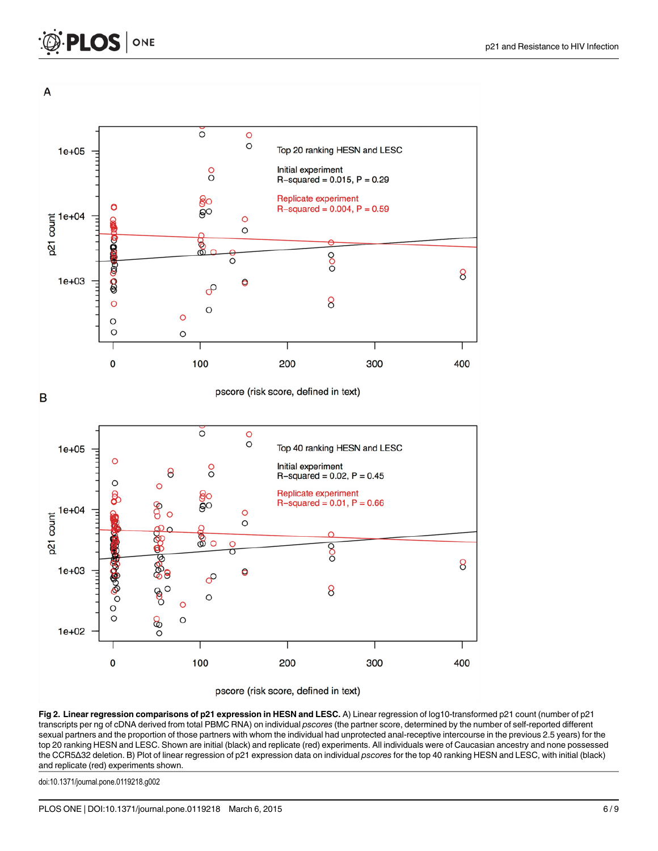<span id="page-5-0"></span>



[Fig 2. L](#page-3-0)inear regression comparisons of p21 expression in HESN and LESC. A) Linear regression of log10-transformed p21 count (number of p21 transcripts per ng of cDNA derived from total PBMC RNA) on individual pscores (the partner score, determined by the number of self-reported different sexual partners and the proportion of those partners with whom the individual had unprotected anal-receptive intercourse in the previous 2.5 years) for the top 20 ranking HESN and LESC. Shown are initial (black) and replicate (red) experiments. All individuals were of Caucasian ancestry and none possessed the CCR5Δ32 deletion. B) Plot of linear regression of p21 expression data on individual pscores for the top 40 ranking HESN and LESC, with initial (black) and replicate (red) experiments shown.

doi:10.1371/journal.pone.0119218.g002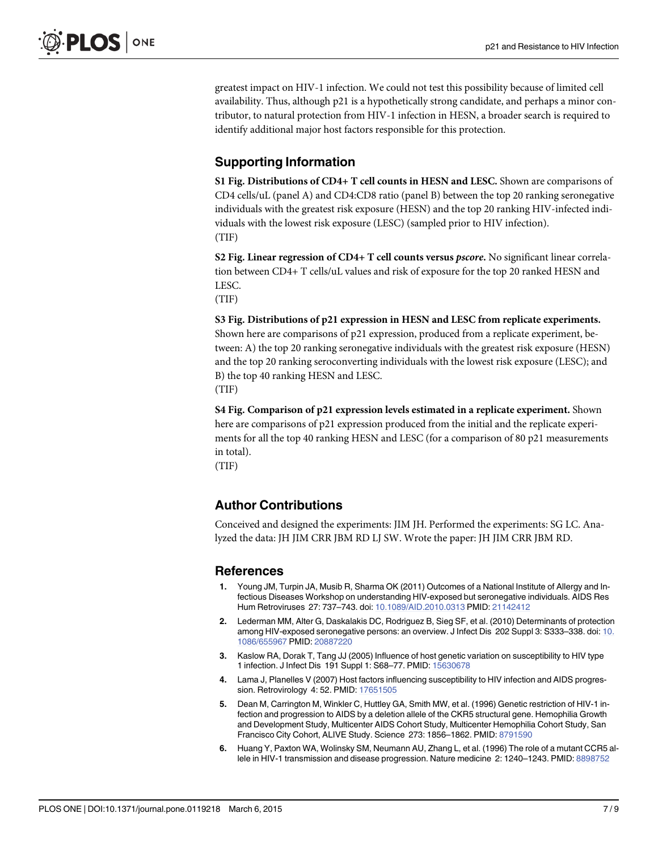<span id="page-6-0"></span>greatest impact on HIV-1 infection. We could not test this possibility because of limited cell availability. Thus, although p21 is a hypothetically strong candidate, and perhaps a minor contributor, to natural protection from HIV-1 infection in HESN, a broader search is required to identify additional major host factors responsible for this protection.

# Supporting Information

[S1 Fig.](http://www.plosone.org/article/fetchSingleRepresentation.action?uri=info:doi/10.1371/journal.pone.0119218.s001) Distributions of CD4+ T cell counts in HESN and LESC. Shown are comparisons of CD4 cells/uL (panel A) and CD4:CD8 ratio (panel B) between the top 20 ranking seronegative individuals with the greatest risk exposure (HESN) and the top 20 ranking HIV-infected individuals with the lowest risk exposure (LESC) (sampled prior to HIV infection). (TIF)

[S2 Fig.](http://www.plosone.org/article/fetchSingleRepresentation.action?uri=info:doi/10.1371/journal.pone.0119218.s002) Linear regression of CD4+ T cell counts versus pscore. No significant linear correlation between CD4+ T cells/uL values and risk of exposure for the top 20 ranked HESN and LESC.

(TIF)

# [S3 Fig.](http://www.plosone.org/article/fetchSingleRepresentation.action?uri=info:doi/10.1371/journal.pone.0119218.s003) Distributions of p21 expression in HESN and LESC from replicate experiments.

Shown here are comparisons of p21 expression, produced from a replicate experiment, between: A) the top 20 ranking seronegative individuals with the greatest risk exposure (HESN) and the top 20 ranking seroconverting individuals with the lowest risk exposure (LESC); and B) the top 40 ranking HESN and LESC.

(TIF)

[S4 Fig.](http://www.plosone.org/article/fetchSingleRepresentation.action?uri=info:doi/10.1371/journal.pone.0119218.s004) Comparison of p21 expression levels estimated in a replicate experiment. Shown here are comparisons of p21 expression produced from the initial and the replicate experiments for all the top 40 ranking HESN and LESC (for a comparison of 80 p21 measurements in total).

(TIF)

# Author Contributions

Conceived and designed the experiments: JIM JH. Performed the experiments: SG LC. Analyzed the data: JH JIM CRR JBM RD LJ SW. Wrote the paper: JH JIM CRR JBM RD.

#### References

- [1.](#page-0-0) Young JM, Turpin JA, Musib R, Sharma OK (2011) Outcomes of a National Institute of Allergy and Infectious Diseases Workshop on understanding HIV-exposed but seronegative individuals. AIDS Res Hum Retroviruses 27: 737–743. doi: [10.1089/AID.2010.0313](http://dx.doi.org/10.1089/AID.2010.0313) PMID: [21142412](http://www.ncbi.nlm.nih.gov/pubmed/21142412)
- [2.](#page-0-0) Lederman MM, Alter G, Daskalakis DC, Rodriguez B, Sieg SF, et al. (2010) Determinants of protection among HIV-exposed seronegative persons: an overview. J Infect Dis 202 Suppl 3: S333–338. doi: [10.](http://dx.doi.org/10.1086/655967) [1086/655967](http://dx.doi.org/10.1086/655967) PMID: [20887220](http://www.ncbi.nlm.nih.gov/pubmed/20887220)
- [3.](#page-0-0) Kaslow RA, Dorak T, Tang JJ (2005) Influence of host genetic variation on susceptibility to HIV type 1 infection. J Infect Dis 191 Suppl 1: S68–77. PMID: [15630678](http://www.ncbi.nlm.nih.gov/pubmed/15630678)
- [4.](#page-0-0) Lama J, Planelles V (2007) Host factors influencing susceptibility to HIV infection and AIDS progression. Retrovirology 4: 52. PMID: [17651505](http://www.ncbi.nlm.nih.gov/pubmed/17651505)
- [5.](#page-1-0) Dean M, Carrington M, Winkler C, Huttley GA, Smith MW, et al. (1996) Genetic restriction of HIV-1 infection and progression to AIDS by a deletion allele of the CKR5 structural gene. Hemophilia Growth and Development Study, Multicenter AIDS Cohort Study, Multicenter Hemophilia Cohort Study, San Francisco City Cohort, ALIVE Study. Science 273: 1856–1862. PMID: [8791590](http://www.ncbi.nlm.nih.gov/pubmed/8791590)
- [6.](#page-1-0) Huang Y, Paxton WA, Wolinsky SM, Neumann AU, Zhang L, et al. (1996) The role of a mutant CCR5 allele in HIV-1 transmission and disease progression. Nature medicine 2: 1240–1243. PMID: [8898752](http://www.ncbi.nlm.nih.gov/pubmed/8898752)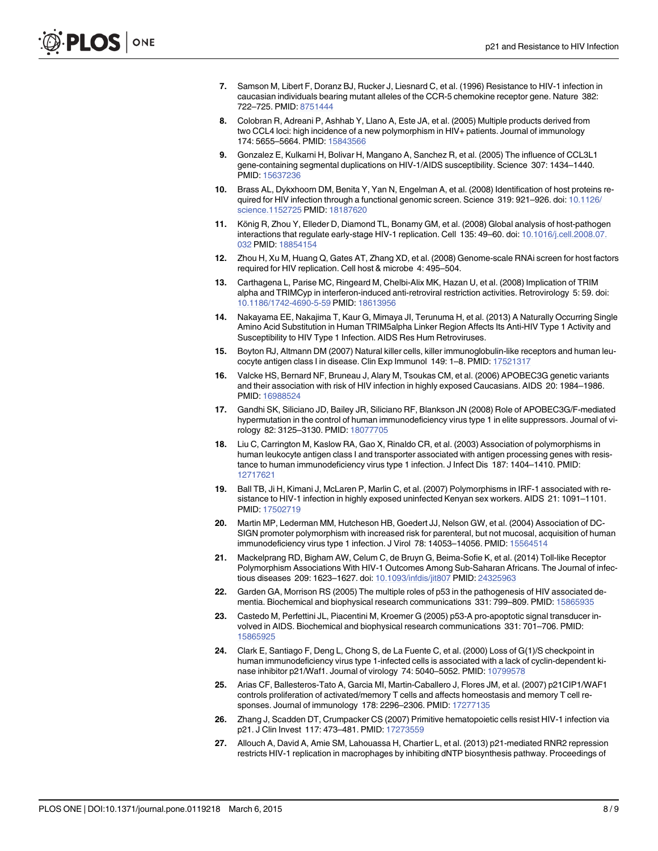- <span id="page-7-0"></span>[7.](#page-1-0) Samson M, Libert F, Doranz BJ, Rucker J, Liesnard C, et al. (1996) Resistance to HIV-1 infection in caucasian individuals bearing mutant alleles of the CCR-5 chemokine receptor gene. Nature 382: 722–725. PMID: [8751444](http://www.ncbi.nlm.nih.gov/pubmed/8751444)
- [8.](#page-1-0) Colobran R, Adreani P, Ashhab Y, Llano A, Este JA, et al. (2005) Multiple products derived from two CCL4 loci: high incidence of a new polymorphism in HIV+ patients. Journal of immunology 174: 5655–5664. PMID: [15843566](http://www.ncbi.nlm.nih.gov/pubmed/15843566)
- [9.](#page-1-0) Gonzalez E, Kulkarni H, Bolivar H, Mangano A, Sanchez R, et al. (2005) The influence of CCL3L1 gene-containing segmental duplications on HIV-1/AIDS susceptibility. Science 307: 1434–1440. PMID: [15637236](http://www.ncbi.nlm.nih.gov/pubmed/15637236)
- [10.](#page-1-0) Brass AL, Dykxhoorn DM, Benita Y, Yan N, Engelman A, et al. (2008) Identification of host proteins re-quired for HIV infection through a functional genomic screen. Science 319: 921-926. doi: [10.1126/](http://dx.doi.org/10.1126/science.1152725) [science.1152725](http://dx.doi.org/10.1126/science.1152725) PMID: [18187620](http://www.ncbi.nlm.nih.gov/pubmed/18187620)
- [11.](#page-1-0) König R, Zhou Y, Elleder D, Diamond TL, Bonamy GM, et al. (2008) Global analysis of host-pathogen interactions that regulate early-stage HIV-1 replication. Cell 135: 49–60. doi: [10.1016/j.cell.2008.07.](http://dx.doi.org/10.1016/j.cell.2008.07.032) [032](http://dx.doi.org/10.1016/j.cell.2008.07.032) PMID: [18854154](http://www.ncbi.nlm.nih.gov/pubmed/18854154)
- [12.](#page-1-0) Zhou H, Xu M, Huang Q, Gates AT, Zhang XD, et al. (2008) Genome-scale RNAi screen for host factors required for HIV replication. Cell host & microbe 4: 495–504.
- [13.](#page-1-0) Carthagena L, Parise MC, Ringeard M, Chelbi-Alix MK, Hazan U, et al. (2008) Implication of TRIM alpha and TRIMCyp in interferon-induced anti-retroviral restriction activities. Retrovirology 5: 59. doi: [10.1186/1742-4690-5-59](http://dx.doi.org/10.1186/1742-4690-5-59) PMID: [18613956](http://www.ncbi.nlm.nih.gov/pubmed/18613956)
- [14.](#page-1-0) Nakayama EE, Nakajima T, Kaur G, Mimaya JI, Terunuma H, et al. (2013) A Naturally Occurring Single Amino Acid Substitution in Human TRIM5alpha Linker Region Affects Its Anti-HIV Type 1 Activity and Susceptibility to HIV Type 1 Infection. AIDS Res Hum Retroviruses.
- [15.](#page-1-0) Boyton RJ, Altmann DM (2007) Natural killer cells, killer immunoglobulin-like receptors and human leucocyte antigen class I in disease. Clin Exp Immunol 149: 1–8. PMID: [17521317](http://www.ncbi.nlm.nih.gov/pubmed/17521317)
- [16.](#page-1-0) Valcke HS, Bernard NF, Bruneau J, Alary M, Tsoukas CM, et al. (2006) APOBEC3G genetic variants and their association with risk of HIV infection in highly exposed Caucasians. AIDS 20: 1984–1986. PMID: [16988524](http://www.ncbi.nlm.nih.gov/pubmed/16988524)
- [17.](#page-1-0) Gandhi SK, Siliciano JD, Bailey JR, Siliciano RF, Blankson JN (2008) Role of APOBEC3G/F-mediated hypermutation in the control of human immunodeficiency virus type 1 in elite suppressors. Journal of virology 82: 3125–3130. PMID: [18077705](http://www.ncbi.nlm.nih.gov/pubmed/18077705)
- [18.](#page-1-0) Liu C, Carrington M, Kaslow RA, Gao X, Rinaldo CR, et al. (2003) Association of polymorphisms in human leukocyte antigen class I and transporter associated with antigen processing genes with resistance to human immunodeficiency virus type 1 infection. J Infect Dis 187: 1404–1410. PMID: [12717621](http://www.ncbi.nlm.nih.gov/pubmed/12717621)
- [19.](#page-1-0) Ball TB, Ji H, Kimani J, McLaren P, Marlin C, et al. (2007) Polymorphisms in IRF-1 associated with resistance to HIV-1 infection in highly exposed uninfected Kenyan sex workers. AIDS 21: 1091–1101. PMID: [17502719](http://www.ncbi.nlm.nih.gov/pubmed/17502719)
- [20.](#page-1-0) Martin MP, Lederman MM, Hutcheson HB, Goedert JJ, Nelson GW, et al. (2004) Association of DC-SIGN promoter polymorphism with increased risk for parenteral, but not mucosal, acquisition of human immunodeficiency virus type 1 infection. J Virol 78: 14053-14056. PMID: [15564514](http://www.ncbi.nlm.nih.gov/pubmed/15564514)
- [21.](#page-1-0) Mackelprang RD, Bigham AW, Celum C, de Bruyn G, Beima-Sofie K, et al. (2014) Toll-like Receptor Polymorphism Associations With HIV-1 Outcomes Among Sub-Saharan Africans. The Journal of infectious diseases 209: 1623–1627. doi: [10.1093/infdis/jit807](http://dx.doi.org/10.1093/infdis/jit807) PMID: [24325963](http://www.ncbi.nlm.nih.gov/pubmed/24325963)
- [22.](#page-1-0) Garden GA, Morrison RS (2005) The multiple roles of p53 in the pathogenesis of HIV associated dementia. Biochemical and biophysical research communications 331: 799–809. PMID: [15865935](http://www.ncbi.nlm.nih.gov/pubmed/15865935)
- [23.](#page-1-0) Castedo M, Perfettini JL, Piacentini M, Kroemer G (2005) p53-A pro-apoptotic signal transducer involved in AIDS. Biochemical and biophysical research communications 331: 701–706. PMID: [15865925](http://www.ncbi.nlm.nih.gov/pubmed/15865925)
- [24.](#page-1-0) Clark E, Santiago F, Deng L, Chong S, de La Fuente C, et al. (2000) Loss of G(1)/S checkpoint in human immunodeficiency virus type 1-infected cells is associated with a lack of cyclin-dependent ki-nase inhibitor p21/Waf1. Journal of virology 74: 5040-5052. PMID: [10799578](http://www.ncbi.nlm.nih.gov/pubmed/10799578)
- [25.](#page-1-0) Arias CF, Ballesteros-Tato A, Garcia MI, Martin-Caballero J, Flores JM, et al. (2007) p21CIP1/WAF1 controls proliferation of activated/memory T cells and affects homeostasis and memory T cell responses. Journal of immunology 178: 2296–2306. PMID: [17277135](http://www.ncbi.nlm.nih.gov/pubmed/17277135)
- [26.](#page-1-0) Zhang J, Scadden DT, Crumpacker CS (2007) Primitive hematopoietic cells resist HIV-1 infection via p21. J Clin Invest 117: 473–481. PMID: [17273559](http://www.ncbi.nlm.nih.gov/pubmed/17273559)
- [27.](#page-1-0) Allouch A, David A, Amie SM, Lahouassa H, Chartier L, et al. (2013) p21-mediated RNR2 repression restricts HIV-1 replication in macrophages by inhibiting dNTP biosynthesis pathway. Proceedings of